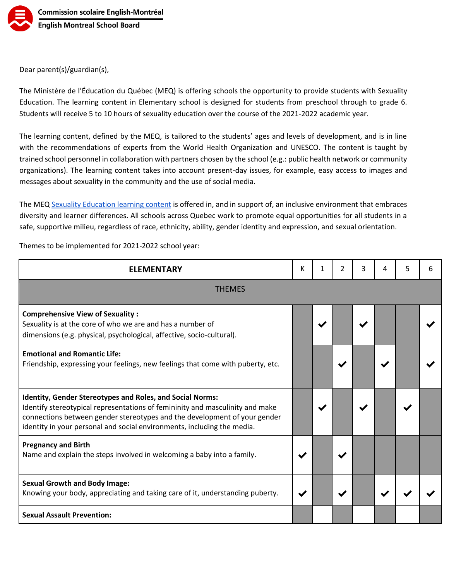

Dear parent(s)/guardian(s),

The Ministère de l'Éducation du Québec (MEQ) is offering schools the opportunity to provide students with Sexuality Education. The learning content in Elementary school is designed for students from preschool through to grade 6. Students will receive 5 to 10 hours of sexuality education over the course of the 2021-2022 academic year.

The learning content, defined by the MEQ, is tailored to the students' ages and levels of development, and is in line with the recommendations of experts from the World Health Organization and UNESCO. The content is taught by trained school personnel in collaboration with partners chosen by the school (e.g.: public health network or community organizations). The learning content takes into account present-day issues, for example, easy access to images and messages about sexuality in the community and the use of social media.

The MEQ [Sexuality Education learning content](http://www.education.gouv.qc.ca/en/parents-and-guardians/sexuality-education/) is offered in, and in support of, an inclusive environment that embraces diversity and learner differences. All schools across Quebec work to promote equal opportunities for all students in a safe, supportive milieu, regardless of race, ethnicity, ability, gender identity and expression, and sexual orientation.

**ELEMENTARY K K 1** 2 3 4 5 6 THEMES **Comprehensive View of Sexuality :** Sexuality is at the core of who we are and has a number of dimensions (e.g. physical, psychological, affective, socio-cultural). ✔ ✔ ✔ **Emotional and Romantic Life:** Friendship, expressing your feelings, new feelings that come with puberty, etc. **Identity, Gender Stereotypes and Roles, and Social Norms:** Identify stereotypical representations of femininity and masculinity and make connections between gender stereotypes and the development of your gender identity in your personal and social environments, including the media. ✔ ✔ ✔ **Pregnancy and Birth** Name and explain the steps involved in welcoming a baby into a family.  $\blacktriangleright\blacktriangleright$ **Sexual Growth and Body Image:** Knowing your body, appreciating and taking care of it, understanding puberty.  $\|\vee\|$   $\|\vee\|$ **Sexual Assault Prevention:**

Themes to be implemented for 2021-2022 school year: